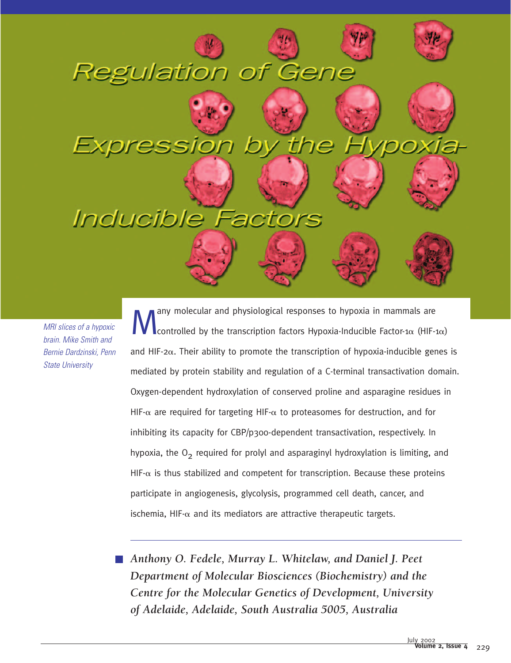# *Inducible* F

**Regulation of Gene** 

*MRI slices of a hypoxic brain. Mike Smith and Bernie Dardzinski, Penn State University*

**Many molecular and physiological responses to hypoxia in mammals are**<br>
controlled by the transcription factors Hypoxia-Inducible Factor-1 $\alpha$  (HIF-1 $\alpha$ ) and HIF-2 $\alpha$ . Their ability to promote the transcription of hypoxia-inducible genes is mediated by protein stability and regulation of a C-terminal transactivation domain. Oxygen-dependent hydroxylation of conserved proline and asparagine residues in HIF- $\alpha$  are required for targeting HIF- $\alpha$  to proteasomes for destruction, and for inhibiting its capacity for CBP/p300-dependent transactivation, respectively. In hypoxia, the  $O<sub>2</sub>$  required for prolyl and asparaginyl hydroxylation is limiting, and HIF- $\alpha$  is thus stabilized and competent for transcription. Because these proteins participate in angiogenesis, glycolysis, programmed cell death, cancer, and ischemia, HIF- $\alpha$  and its mediators are attractive therapeutic targets.

*Anthony O. Fedele, Murray L. Whitelaw, and Daniel J. Peet Department of Molecular Biosciences (Biochemistry) and the Centre for the Molecular Genetics of Development, University of Adelaide, Adelaide, South Australia 5005, Australia*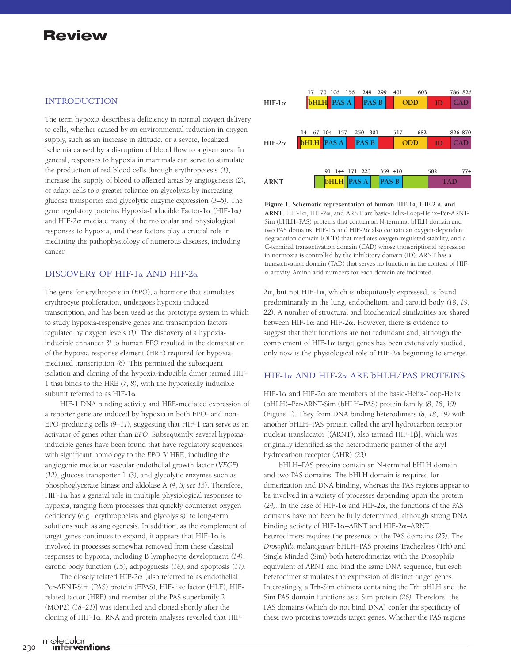#### INTRODUCTION

The term hypoxia describes a deficiency in normal oxygen delivery to cells, whether caused by an environmental reduction in oxygen supply, such as an increase in altitude, or a severe, localized ischemia caused by a disruption of blood flow to a given area. In general, responses to hypoxia in mammals can serve to stimulate the production of red blood cells through erythropoiesis *(1)*, increase the supply of blood to affected areas by angiogenesis *(2)*, or adapt cells to a greater reliance on glycolysis by increasing glucose transporter and glycolytic enzyme expression *(3*–*5)*. The gene regulatory proteins Hypoxia-Inducible Factor-1 $\alpha$  (HIF-1 $\alpha$ ) and HIF-2 $\alpha$  mediate many of the molecular and physiological responses to hypoxia, and these factors play a crucial role in mediating the pathophysiology of numerous diseases, including cancer.

#### DISCOVERY OF HIF-1 $\alpha$  AND HIF-2 $\alpha$

The gene for erythropoietin (*EPO*), a hormone that stimulates erythrocyte proliferation, undergoes hypoxia-induced transcription, and has been used as the prototype system in which to study hypoxia-responsive genes and transcription factors regulated by oxygen levels *(1)*. The discovery of a hypoxiainducible enhancer 3' to human *EPO* resulted in the demarcation of the hypoxia response element (HRE) required for hypoxiamediated transcription *(6)*. This permitted the subsequent isolation and cloning of the hypoxia-inducible dimer termed HIF-1 that binds to the HRE *(7*, *8)*, with the hypoxically inducible subunit referred to as HIF- $1\alpha$ .

HIF-1 DNA binding activity and HRE-mediated expression of a reporter gene are induced by hypoxia in both EPO- and non-EPO-producing cells *(9*–*11)*, suggesting that HIF-1 can serve as an activator of genes other than *EPO*. Subsequently, several hypoxiainducible genes have been found that have regulatory sequences with significant homology to the *EPO* 3' HRE, including the angiogenic mediator vascular endothelial growth factor (*VEGF*) *(12)*, glucose transporter 1 *(3),* and glycolytic enzymes such as phosphoglycerate kinase and aldolase A *(4*, *5; see 13)*. Therefore, HIF-1 $\alpha$  has a general role in multiple physiological responses to hypoxia, ranging from processes that quickly counteract oxygen deficiency (e.g., erythropoeisis and glycolysis), to long-term solutions such as angiogenesis. In addition, as the complement of target genes continues to expand, it appears that HIF-1 $\alpha$  is involved in processes somewhat removed from these classical responses to hypoxia, including B lymphocyte development *(14)*, carotid body function *(15)*, adipogenesis *(16)*, and apoptosis *(17)*.

The closely related HIF-2 $\alpha$  [also referred to as endothelial Per-ARNT-Sim (PAS) protein (EPAS), HIF-like factor (HLF), HIFrelated factor (HRF) and member of the PAS superfamily 2 (MOP2) *(18*–*21)*] was identified and cloned shortly after the cloning of HIF-1 $\alpha$ . RNA and protein analyses revealed that HIF-



**Figure 1. Schematic representation of human HIF-1a, HIF-2 a, and**  $ARNT$ . HIF-1 $\alpha$ , HIF-2 $\alpha$ , and ARNT are basic-Helix-Loop-Helix–Per-ARNT-Sim (bHLH–PAS) proteins that contain an N-terminal bHLH domain and two PAS domains. HIF-1 $\alpha$  and HIF-2 $\alpha$  also contain an oxygen-dependent degradation domain (ODD) that mediates oxygen-regulated stability, and a C-terminal transactivation domain (CAD) whose transcriptional repression in normoxia is controlled by the inhibitory domain (ID). ARNT has a transactivation domain (TAD) that serves no function in the context of HIF-  $\alpha$  activity. Amino acid numbers for each domain are indicated.

 $2\alpha$ , but not HIF-1 $\alpha$ , which is ubiquitously expressed, is found predominantly in the lung, endothelium, and carotid body *(18*, *19*, *22)*. A number of structural and biochemical similarities are shared between HIF-1 $\alpha$  and HIF-2 $\alpha$ . However, there is evidence to suggest that their functions are not redundant and, although the complement of HIF-1 $\alpha$  target genes has been extensively studied, only now is the physiological role of HIF-2 $\alpha$  beginning to emerge.

#### $HIF-1\alpha$  AND HIF-2 $\alpha$  ARE bHLH/PAS PROTEINS

HIF-1 $\alpha$  and HIF-2 $\alpha$  are members of the basic-Helix-Loop-Helix (bHLH)–Per-ARNT-Sim (bHLH–PAS) protein family *(8*, *18*, *19)* (Figure 1). They form DNA binding heterodimers *(8*, *18*, *19)* with another bHLH–PAS protein called the aryl hydrocarbon receptor nuclear translocator [(ARNT), also termed HIF-1 $\beta$ ], which was originally identified as the heterodimeric partner of the aryl hydrocarbon receptor (AHR) *(23)*.

bHLH–PAS proteins contain an N-terminal bHLH domain and two PAS domains. The bHLH domain is required for dimerization and DNA binding, whereas the PAS regions appear to be involved in a variety of processes depending upon the protein (24). In the case of HIF-1 $\alpha$  and HIF-2 $\alpha$ , the functions of the PAS domains have not been be fully determined, although strong DNA binding activity of HIF- $1\alpha$ –ARNT and HIF- $2\alpha$ –ARNT heterodimers requires the presence of the PAS domains *(25)*. The *Drosophila melanogaster* bHLH–PAS proteins Trachealess (Trh) and Single Minded (Sim) both heterodimerize with the Drosophila equivalent of ARNT and bind the same DNA sequence, but each heterodimer stimulates the expression of distinct target genes. Interestingly, a Trh-Sim chimera containing the Trh bHLH and the Sim PAS domain functions as a Sim protein *(26)*. Therefore, the PAS domains (which do not bind DNA) confer the specificity of these two proteins towards target genes. Whether the PAS regions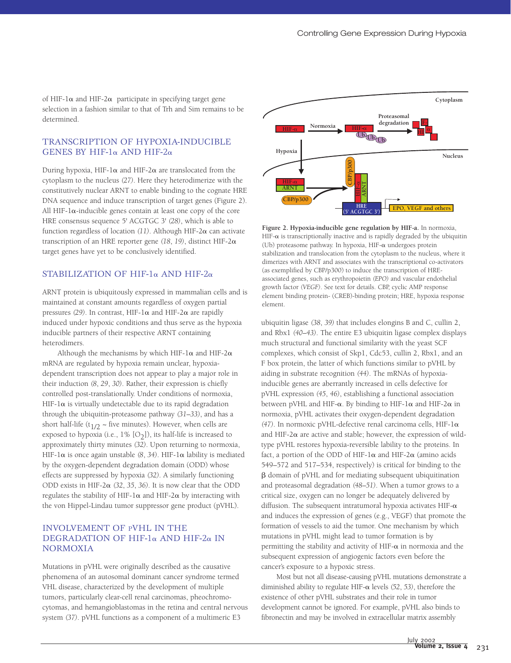of HIF-1 $\alpha$  and HIF-2 $\alpha$  participate in specifying target gene selection in a fashion similar to that of Trh and Sim remains to be determined.

#### TRANSCRIPTION OF HYPOXIA-INDUCIBLE GENES BY HIF-1 $\alpha$  AND HIF-2 $\alpha$

During hypoxia, HIF-1 $\alpha$  and HIF-2 $\alpha$  are translocated from the cytoplasm to the nucleus *(27)*. Here they heterodimerize with the constitutively nuclear ARNT to enable binding to the cognate HRE DNA sequence and induce transcription of target genes (Figure 2). All HIF- $1\alpha$ -inducible genes contain at least one copy of the core HRE consensus sequence 5' ACGTGC 3' *(28)*, which is able to function regardless of location  $(11)$ . Although HIF-2 $\alpha$  can activate transcription of an HRE reporter gene *(18*, *19)*, distinct HIF-2 target genes have yet to be conclusively identified.

## STABILIZATION OF HIF-1 $\alpha$  AND HIF-2 $\alpha$

ARNT protein is ubiquitously expressed in mammalian cells and is maintained at constant amounts regardless of oxygen partial pressures (29). In contrast, HIF-1 $\alpha$  and HIF-2 $\alpha$  are rapidly induced under hypoxic conditions and thus serve as the hypoxia inducible partners of their respective ARNT containing heterodimers.

Although the mechanisms by which HIF-1 $\alpha$  and HIF-2 $\alpha$ mRNA are regulated by hypoxia remain unclear, hypoxiadependent transcription does not appear to play a major role in their induction *(8*, *29*, *30)*. Rather, their expression is chiefly controlled post-translationally. Under conditions of normoxia,  $HIF-I\alpha$  is virtually undetectable due to its rapid degradation through the ubiquitin-proteasome pathway *(31*–*33)*, and has a short half-life (t<sub>1/2</sub>  $\sim$  five minutes). However, when cells are exposed to hypoxia (i.e.,  $1\%$  [O<sub>2</sub>]), its half-life is increased to approximately thirty minutes *(32)*. Upon returning to normoxia, HIF-1 $\alpha$  is once again unstable (8, 34). HIF-1 $\alpha$  lability is mediated by the oxygen-dependent degradation domain (ODD) whose effects are suppressed by hypoxia *(32)*. A similarly functioning ODD exists in HIF-2 $\alpha$  (32, 35, 36). It is now clear that the ODD regulates the stability of HIF-1 $\alpha$  and HIF-2 $\alpha$  by interacting with the von Hippel-Lindau tumor suppressor gene product (pVHL).

#### INVOLVEMENT OF PVHL IN THE DEGRADATION OF HIF-1 $\alpha$  AND HIF-2 $\alpha$  IN NORMOXIA

Mutations in pVHL were originally described as the causative phenomena of an autosomal dominant cancer syndrome termed VHL disease, characterized by the development of multiple tumors, particularly clear-cell renal carcinomas, pheochromocytomas, and hemangioblastomas in the retina and central nervous system *(37)*. pVHL functions as a component of a multimeric E3



**Figure 2. Hypoxia-inducible gene regulation by HIF-a.** In normoxia, HIF- $\alpha$  is transcriptionally inactive and is rapidly degraded by the ubiquitin (Ub) proteasome pathway. In hypoxia, HIF- $\alpha$  undergoes protein stabilization and translocation from the cytoplasm to the nucleus, where it dimerizes with ARNT and associates with the transcriptional co-activators (as exemplified by CBP/p300) to induce the transcription of HREassociated genes, such as erythropoietin *(EPO)* and vascular endothelial growth factor *(VEGF)*. See text for details. CBP, cyclic AMP response element binding protein- (CREB)-binding protein; HRE, hypoxia response element.

ubiquitin ligase *(38*, *39)* that includes elongins B and C, cullin 2, and Rbx1 *(40*–*43)*. The entire E3 ubiquitin ligase complex displays much structural and functional similarity with the yeast SCF complexes, which consist of Skp1, Cdc53, cullin 2, Rbx1, and an F box protein, the latter of which functions similar to pVHL by aiding in substrate recognition *(44)*. The mRNAs of hypoxiainducible genes are aberrantly increased in cells defective for pVHL expression *(45*, *46)*, establishing a functional association between pVHL and HIF- $\alpha$ . By binding to HIF-1 $\alpha$  and HIF-2 $\alpha$  in normoxia, pVHL activates their oxygen-dependent degradation  $(47)$ . In normoxic pVHL-defective renal carcinoma cells, HIF-1 $\alpha$ and HIF-2 $\alpha$  are active and stable; however, the expression of wildtype pVHL restores hypoxia-reversible lability to the proteins. In fact, a portion of the ODD of HIF-1 $\alpha$  and HIF-2 $\alpha$  (amino acids 549–572 and 517–534, respectively) is critical for binding to the - domain of pVHL and for mediating subsequent ubiquitination and proteasomal degradation *(48*–*51)*. When a tumor grows to a critical size, oxygen can no longer be adequately delivered by diffusion. The subsequent intratumoral hypoxia activates HIF- $\alpha$ and induces the expression of genes (e.g., VEGF) that promote the formation of vessels to aid the tumor. One mechanism by which mutations in pVHL might lead to tumor formation is by permitting the stability and activity of HIF- $\alpha$  in normoxia and the subsequent expression of angiogenic factors even before the cancer's exposure to a hypoxic stress.

Most but not all disease-causing pVHL mutations demonstrate a diminished ability to regulate HIF- $\alpha$  levels (52, 53), therefore the existence of other pVHL substrates and their role in tumor development cannot be ignored. For example, pVHL also binds to fibronectin and may be involved in extracellular matrix assembly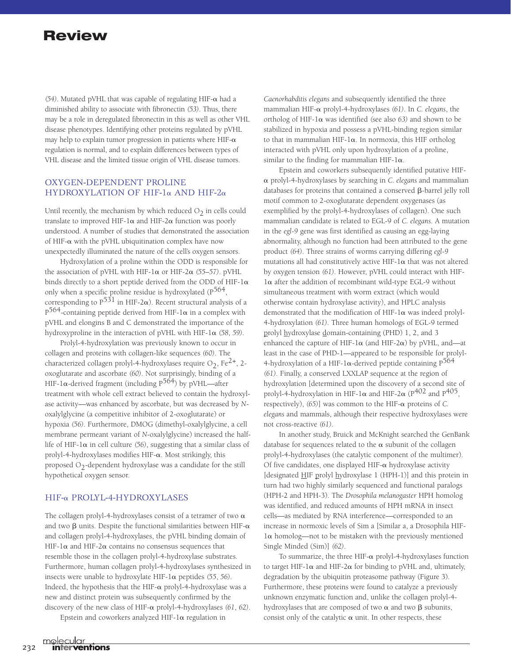$(54)$ . Mutated pVHL that was capable of regulating HIF- $\alpha$  had a diminished ability to associate with fibronectin *(53)*. Thus, there may be a role in deregulated fibronectin in this as well as other VHL disease phenotypes. Identifying other proteins regulated by pVHL may help to explain tumor progression in patients where HIF- $\alpha$ regulation is normal, and to explain differences between types of VHL disease and the limited tissue origin of VHL disease tumors.

#### OXYGEN-DEPENDENT PROLINE HYDROXYLATION OF HIF-1 $\alpha$  AND HIF-2 $\alpha$

Until recently, the mechanism by which reduced  $O_2$  in cells could translate to improved HIF-1 $\alpha$  and HIF-2 $\alpha$  function was poorly understood. A number of studies that demonstrated the association of HIF- $\alpha$  with the pVHL ubiquitination complex have now unexpectedly illuminated the nature of the cell's oxygen sensors.

Hydroxylation of a proline within the ODD is responsible for the association of pVHL with HIF- $1\alpha$  or HIF- $2\alpha$  (55–57). pVHL binds directly to a short peptide derived from the ODD of HIF-1 $\alpha$ only when a specific proline residue is hydroxylated  $(P^{564}, P^{106})$ corresponding to  $P^{531}$  in HIF-2 $\alpha$ ). Recent structural analysis of a  $P^{564}$ -containing peptide derived from HIF-1 $\alpha$  in a complex with pVHL and elongins B and C demonstrated the importance of the hydroxyproline in the interaction of pVHL with HIF-1 $\alpha$  (58, 59).

Prolyl-4-hydroxylation was previously known to occur in collagen and proteins with collagen-like sequences *(60)*. The characterized collagen prolyl-4-hydroxylases require  $O_2$ , Fe<sup>2+</sup>, 2oxoglutarate and ascorbate *(60)*. Not surprisingly, binding of a HIF-1 $\alpha$ -derived fragment (including P<sup>564</sup>) by pVHL—after treatment with whole cell extract believed to contain the hydroxylase activity—was enhanced by ascorbate, but was decreased by *N*oxalylglycine (a competitive inhibitor of 2-oxoglutarate) or hypoxia *(56)*. Furthermore, DMOG (dimethyl-oxalylglycine, a cell membrane permeant variant of *N*-oxalylglycine) increased the halflife of HIF-1 $\alpha$  in cell culture (56), suggesting that a similar class of prolyl-4-hydroxylases modifies HIF- $\alpha$ . Most strikingly, this proposed  $O<sub>2</sub>$ -dependent hydroxylase was a candidate for the still hypothetical oxygen sensor.

#### HIF-α PROLYL-4-HYDROXYLASES

The collagen prolyl-4-hydroxylases consist of a tetramer of two  $\alpha$ and two  $\beta$  units. Despite the functional similarities between HIF- $\alpha$ and collagen prolyl-4-hydroxylases, the pVHL binding domain of HIF-1 $\alpha$  and HIF-2 $\alpha$  contains no consensus sequences that resemble those in the collagen prolyl-4-hydroxylase substrates. Furthermore, human collagen prolyl-4-hydroxylases synthesized in insects were unable to hydroxylate  $HIF-I\alpha$  peptides (55, 56). Indeed, the hypothesis that the HIF- $\alpha$  prolyl-4-hydroxylase was a new and distinct protein was subsequently confirmed by the discovery of the new class of HIF- $\alpha$  prolyl-4-hydroxylases (61, 62).

Epstein and coworkers analyzed HIF- $1\alpha$  regulation in

*Caenorhabditis elegans* and subsequently identified the three mammalian HIF-α prolyl-4-hydroxylases (61). In *C. elegans*, the ortholog of HIF-1 $\alpha$  was identified *(see also 63)* and shown to be stabilized in hypoxia and possess a pVHL-binding region similar to that in mammalian HIF-1 $\alpha$ . In normoxia, this HIF ortholog interacted with pVHL only upon hydroxylation of a proline, similar to the finding for mammalian HIF-1 $\alpha$ .

Epstein and coworkers subsequently identified putative HIF prolyl-4-hydroxylases by searching in *C. elegans* and mammalian databases for proteins that contained a conserved  $\beta$ -barrel jelly roll motif common to 2-oxoglutarate dependent oxygenases (as exemplified by the prolyl-4-hydroxylases of collagen). One such mammalian candidate is related to EGL-9 of *C. elegans*. A mutation in the *egl-9* gene was first identified as causing an egg-laying abnormality, although no function had been attributed to the gene product *(64)*. Three strains of worms carrying differing *egl-9* mutations all had constitutively active HIF-1 $\alpha$  that was not altered by oxygen tension *(61)*. However, pVHL could interact with HIF- $1\alpha$  after the addition of recombinant wild-type EGL-9 without simultaneous treatment with worm extract (which would otherwise contain hydroxylase activity), and HPLC analysis demonstrated that the modification of HIF-1 $\alpha$  was indeed prolyl-4-hydroxylation *(61)*. Three human homologs of EGL-9 termed prolyl hydroxylase domain-containing (PHD) 1, 2, and 3 enhanced the capture of HIF-1 $\alpha$  (and HIF-2 $\alpha$ ) by pVHL, and—at least in the case of PHD-1—appeared to be responsible for prolyl-4-hydroxylation of a HIF-1 $\alpha$ -derived peptide containing P<sup>564</sup> *(61)*. Finally, a conserved LXXLAP sequence at the region of hydroxylation [determined upon the discovery of a second site of prolyl-4-hydroxylation in HIF-1 $\alpha$  and HIF-2 $\alpha$  (P<sup>402</sup> and P<sup>405</sup>, respectively),  $(65)$ ] was common to the HIF- $\alpha$  proteins of *C*. *elegans* and mammals, although their respective hydroxylases were not cross-reactive *(61)*.

In another study, Bruick and McKnight searched the GenBank database for sequences related to the  $\alpha$  subunit of the collagen prolyl-4-hydroxylases (the catalytic component of the multimer). Of five candidates, one displayed HIF- $\alpha$  hydroxylase activity [designated HIF prolyl hydroxylase 1 (HPH-1)] and this protein in turn had two highly similarly sequenced and functional paralogs (HPH-2 and HPH-3). The *Drosophila melanogaster* HPH homolog was identified, and reduced amounts of HPH mRNA in insect cells—as mediated by RNA interference—corresponded to an increase in normoxic levels of Sim a [Similar a, a Drosophila HIF- $1\alpha$  homolog—not to be mistaken with the previously mentioned Single Minded (Sim)] *(62)*.

To summarize, the three HIF- $\alpha$  prolyl-4-hydroxylases function to target HIF-1 $\alpha$  and HIF-2 $\alpha$  for binding to pVHL and, ultimately, degradation by the ubiquitin proteasome pathway (Figure 3). Furthermore, these proteins were found to catalyze a previously unknown enzymatic function and, unlike the collagen prolyl-4 hydroxylases that are composed of two  $\alpha$  and two  $\beta$  subunits, consist only of the catalytic  $\alpha$  unit. In other respects, these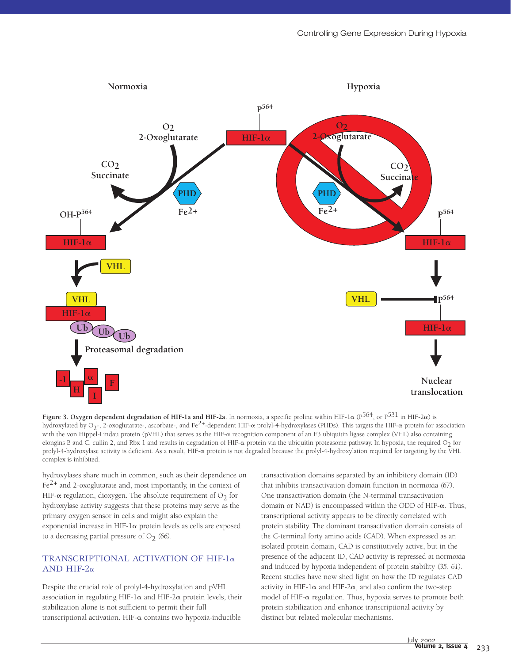

**Figure 3. Oxygen dependent degradation of HIF-1a and HIF-2a.** In normoxia, a specific proline within HIF-1 $\alpha$  (P<sup>564</sup>, or P<sup>531</sup> in HIF-2 $\alpha$ ) is hydroxylated by O<sub>2</sub>-, 2-oxoglutarate-, ascorbate-, and Fe<sup>2+</sup>-dependent HIF- $\alpha$  prolyl-4-hydroxylases (PHDs). This targets the HIF- $\alpha$  protein for association with the von Hippel-Lindau protein (pVHL) that serves as the HIF- $\alpha$  recognition component of an E3 ubiquitin ligase complex (VHL) also containing elongins B and C, cullin 2, and Rbx 1 and results in degradation of HIF- $\alpha$  protein via the ubiquitin proteasome pathway. In hypoxia, the required O<sub>2</sub> for prolyl-4-hydroxylase activity is deficient. As a result, HIF- $\alpha$  protein is not degraded because the prolyl-4-hydroxylation required for targeting by the VHL complex is inhibited.

hydroxylases share much in common, such as their dependence on  $Fe<sup>2+</sup>$  and 2-oxoglutarate and, most importantly, in the context of HIF- $\alpha$  regulation, dioxygen. The absolute requirement of O<sub>2</sub> for hydroxylase activity suggests that these proteins may serve as the primary oxygen sensor in cells and might also explain the exponential increase in HIF-1 $\alpha$  protein levels as cells are exposed to a decreasing partial pressure of  $O_2$  (66).

#### TRANSCRIPTIONAL ACTIVATION OF HIF-1<sup>a</sup> AND HIF- $2\alpha$

Despite the crucial role of prolyl-4-hydroxylation and pVHL association in regulating HIF-1 $\alpha$  and HIF-2 $\alpha$  protein levels, their stabilization alone is not sufficient to permit their full transcriptional activation. HIF- $\alpha$  contains two hypoxia-inducible

transactivation domains separated by an inhibitory domain (ID) that inhibits transactivation domain function in normoxia *(67)*. One transactivation domain (the N-terminal transactivation domain or NAD) is encompassed within the ODD of HIF- $\alpha$ . Thus, transcriptional activity appears to be directly correlated with protein stability. The dominant transactivation domain consists of the C-terminal forty amino acids (CAD). When expressed as an isolated protein domain, CAD is constitutively active, but in the presence of the adjacent ID, CAD activity is repressed at normoxia and induced by hypoxia independent of protein stability *(35*, *61)*. Recent studies have now shed light on how the ID regulates CAD activity in HIF-1 $\alpha$  and HIF-2 $\alpha$ , and also confirm the two-step model of HIF- $\alpha$  regulation. Thus, hypoxia serves to promote both protein stabilization and enhance transcriptional activity by distinct but related molecular mechanisms.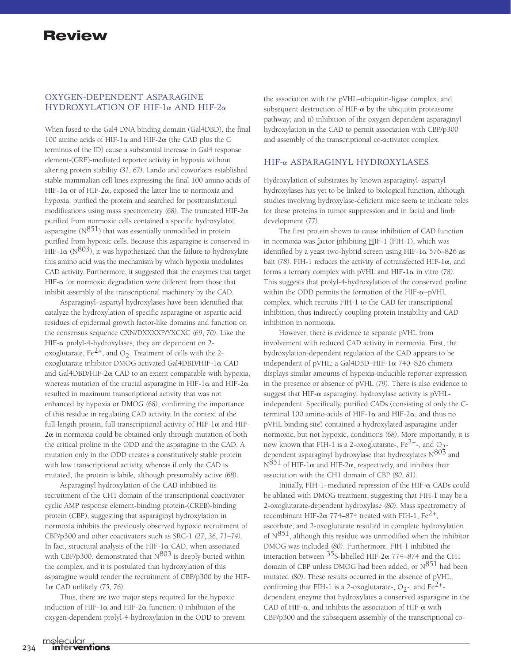#### OXYGEN-DEPENDENT ASPARAGINE HYDROXYLATION OF HIF-1 $\alpha$  AND HIF-2 $\alpha$

When fused to the Gal4 DNA binding domain (Gal4DBD), the final 100 amino acids of HIF-1 $\alpha$  and HIF-2 $\alpha$  (the CAD plus the C terminus of the ID) cause a substantial increase in Gal4 response element-(GRE)-mediated reporter activity in hypoxia without altering protein stability *(31*, *67)*. Lando and coworkers established stable mammalian cell lines expressing the final 100 amino acids of HIF-1 $\alpha$  or of HIF-2 $\alpha$ , exposed the latter line to normoxia and hypoxia, purified the protein and searched for posttranslational modifications using mass spectrometry *(68)*. The truncated HIF-2 purified from normoxic cells contained a specific hydroxylated asparagine  $(N^{851})$  that was essentially unmodified in protein purified from hypoxic cells. Because this asparagine is conserved in HIF-1 $\alpha$  (N<sup>803</sup>), it was hypothesized that the failure to hydroxylate this amino acid was the mechanism by which hypoxia modulates CAD activity. Furthermore, it suggested that the enzymes that target HIF- $\alpha$  for normoxic degradation were different from those that inhibit assembly of the transcriptional machinery by the CAD.

Asparaginyl–aspartyl hydroxylases have been identified that catalyze the hydroxylation of specific asparagine or aspartic acid residues of epidermal growth factor-like domains and function on the consensus sequence CXN/DXXXXP/YXCXC *(69*, *70)*. Like the HIF- $\alpha$  prolyl-4-hydroxylases, they are dependent on 2oxoglutarate, Fe<sup>2+</sup>, and O<sub>2</sub>. Treatment of cells with the 2oxoglutarate inhibitor DMOG activated Gal4DBD/HIF-1 $\alpha$  CAD and Gal4DBD/HIF-2 $\alpha$  CAD to an extent comparable with hypoxia, whereas mutation of the crucial asparagine in HIF-1 $\alpha$  and HIF-2 $\alpha$ resulted in maximum transcriptional activity that was not enhanced by hypoxia or DMOG *(68)*, confirming the importance of this residue in regulating CAD activity. In the context of the full-length protein, full transcriptional activity of HIF-1 $\alpha$  and HIF- $2\alpha$  in normoxia could be obtained only through mutation of both the critical proline in the ODD and the asparagine in the CAD. A mutation only in the ODD creates a constitutively stable protein with low transcriptional activity, whereas if only the CAD is mutated, the protein is labile, although presumably active *(68)*.

Asparaginyl hydroxylation of the CAD inhibited its recruitment of the CH1 domain of the transcriptional coactivator cyclic AMP response element-binding protein-(CREB)-binding protein (CBP), suggesting that asparaginyl hydroxylation in normoxia inhibits the previously observed hypoxic recruitment of CBP/p300 and other coactivators such as SRC-1 *(27*, *36*, *71*–*74)*. In fact, structural analysis of the HIF-1 $\alpha$  CAD, when associated with CBP/p300, demonstrated that  $N^{803}$  is deeply buried within the complex, and it is postulated that hydroxylation of this asparagine would render the recruitment of CBP/p300 by the HIF-1 CAD unlikely *(75*, *76)*.

Thus, there are two major steps required for the hypoxic induction of HIF-1 $\alpha$  and HIF-2 $\alpha$  function: i) inhibition of the oxygen-dependent prolyl-4-hydroxylation in the ODD to prevent the association with the pVHL–ubiquitin-ligase complex, and subsequent destruction of HIF- $\alpha$  by the ubiquitin proteasome pathway; and ii) inhibition of the oxygen dependent asparaginyl hydroxylation in the CAD to permit association with CBP/p300 and assembly of the transcriptional co-activator complex.

#### HIF-α ASPARAGINYL HYDROXYLASES

Hydroxylation of substrates by known asparaginyl–aspartyl hydroxylases has yet to be linked to biological function, although studies involving hydroxylase-deficient mice seem to indicate roles for these proteins in tumor suppression and in facial and limb development *(77)*.

The first protein shown to cause inhibition of CAD function in normoxia was factor inhibiting HIF-1 (FIH-1), which was identified by a yeast two-hybrid screen using HIF-1 $\alpha$  576–826 as bait  $(78)$ . FIH-1 reduces the activity of cotransfected HIF-1 $\alpha$ , and forms a ternary complex with pVHL and HIF- $1\alpha$  in vitro (78). This suggests that prolyl-4-hydroxylation of the conserved proline within the ODD permits the formation of the HIF- $\alpha$ -pVHL complex, which recruits FIH-1 to the CAD for transcriptional inhibition, thus indirectly coupling protein instability and CAD inhibition in normoxia.

However, there is evidence to separate pVHL from involvement with reduced CAD activity in normoxia. First, the hydroxylation-dependent regulation of the CAD appears to be independent of pVHL; a Gal4DBD-HIF-1 $\alpha$  740–826 chimera displays similar amounts of hypoxia-inducible reporter expression in the presence or absence of pVHL *(79)*. There is also evidence to suggest that HIF- $\alpha$  asparaginyl hydroxylase activity is pVHLindependent. Specifically, purified CADs (consisting of only the Cterminal 100 amino-acids of HIF-1 $\alpha$  and HIF-2 $\alpha$ , and thus no pVHL binding site) contained a hydroxylated asparagine under normoxic, but not hypoxic, conditions *(68)*. More importantly, it is now known that FIH-1 is a 2-oxoglutarate-,  $Fe^{2+}$ -, and O<sub>2</sub>dependent asparaginyl hydroxylase that hydroxylates  $N^{803}$  and  $N^{\hat{8}51}$  of HIF-1 $\alpha$  and HIF-2 $\alpha$ , respectively, and inhibits their association with the CH1 domain of CBP *(80*, *81)*.

Initially, FIH-1–mediated repression of the HIF- $\alpha$  CADs could be ablated with DMOG treatment, suggesting that FIH-1 may be a 2-oxoglutarate-dependent hydroxylase *(80)*. Mass spectrometry of recombinant HIF-2 $\alpha$  774–874 treated with FIH-1, Fe<sup>2+</sup>, ascorbate, and 2-oxoglutarate resulted in complete hydroxylation of  $N^{851}$ , although this residue was unmodified when the inhibitor DMOG was included *(80)*. Furthermore, FIH-1 inhibited the interaction between  $35$ S-labelled HIF-2 $\alpha$  774–874 and the CH1 domain of CBP unless DMOG had been added, or  $N^{851}$  had been mutated *(80)*. These results occurred in the absence of pVHL, confirming that FIH-1 is a 2-oxoglutarate-,  $O_2$ -, and Fe<sup>2+</sup>dependent enzyme that hydroxylates a conserved asparagine in the CAD of HIF- $\alpha$ , and inhibits the association of HIF- $\alpha$  with CBP/p300 and the subsequent assembly of the transcriptional co-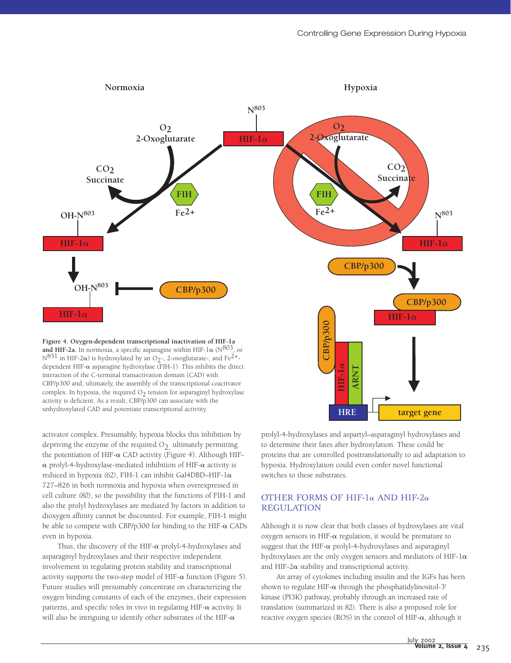

 $N^{851}$  in HIF-2 $\alpha$ ) is hydroxylated by an O<sub>2</sub>-, 2-oxoglutarate-, and Fe<sup>2+</sup>dependent HIF- $\alpha$  asparagine hydroxylase (FIH-1). This inhibits the direct interaction of the C-terminal transactivation domain (CAD) with CBP/p300 and, ultimately, the assembly of the transcriptional coactivator complex. In hypoxia, the required  $O<sub>2</sub>$  tension for asparaginyl hydroxylase activity is deficient. As a result, CBP/p300 can associate with the unhydroxylated CAD and potentiate transcriptional activtity.

activator complex. Presumably, hypoxia blocks this inhibition by depriving the enzyme of the required  $O<sub>2</sub>$  ultimately permitting the potentiation of HIF- $\alpha$  CAD activity (Figure 4). Although HIF- $\alpha$  prolyl-4-hydroxylase-mediated inhibition of HIF- $\alpha$  activity is reduced in hypoxia *(62)*, FIH-1 can inhibit Gal4DBD–HIF-1 727–826 in both normoxia and hypoxia when overexpressed in cell culture *(80)*, so the possibility that the functions of FIH-1 and also the prolyl hydroxylases are mediated by factors in addition to dioxygen affinity cannot be discounted. For example, FIH-1 might be able to compete with CBP/p300 for binding to the HIF- $\alpha$  CADs even in hypoxia.

Thus, the discovery of the HIF- $\alpha$  prolyl-4-hydroxylases and asparaginyl hydroxylases and their respective independent involvement in regulating protein stability and transcriptional activity supports the two-step model of HIF- $\alpha$  function (Figure 5). Future studies will presumably concentrate on characterizing the oxygen binding constants of each of the enzymes, their expression patterns, and specific roles in vivo in regulating  $HIF-\alpha$  activity. It will also be intriguing to identify other substrates of the HIF- $\alpha$ 

prolyl-4-hydroxylases and aspartyl–asparaginyl hydroxylases and to determine their fates after hydroxylation. These could be proteins that are controlled posttranslationally to aid adaptation to hypoxia. Hydroxylation could even confer novel functional switches to these substrates.

**HRE target gene**

#### OTHER FORMS OF HIF-1 $\alpha$  AND HIF-2 $\alpha$ REGULATION

Although it is now clear that both classes of hydroxylases are vital oxygen sensors in HIF- $\alpha$  regulation, it would be premature to suggest that the HIF- $\alpha$  prolyl-4-hydroxylases and asparaginyl hydroxylases are the only oxygen sensors and mediators of HIF-1 $\alpha$ and HIF-2 $\alpha$  stability and transcriptional activity.

An array of cytokines including insulin and the IGFs has been shown to regulate HIF- $\alpha$  through the phosphatidylinositol-3' kinase (PI3K) pathway, probably through an increased rate of translation *(*summarized in *82)*. There is also a proposed role for reactive oxygen species (ROS) in the control of HIF- $\alpha$ , although it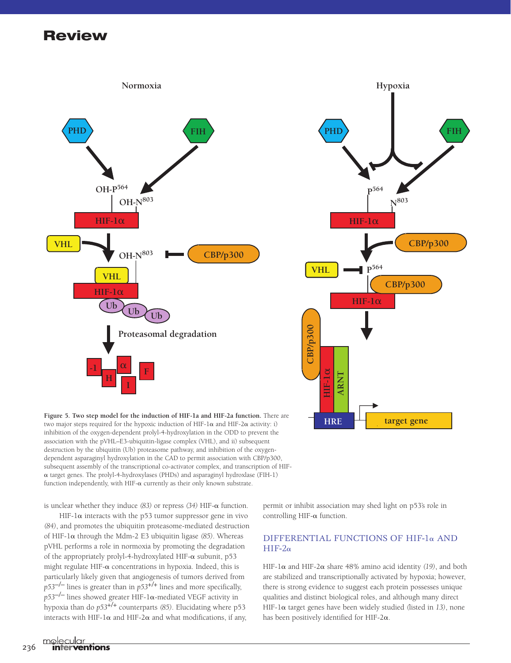



**Figure 5. Two step model for the induction of HIF-1a and HIF-2a function.** There are two major steps required for the hypoxic induction of HIF-1 $\alpha$  and HIF-2 $\alpha$  activity: i) inhibition of the oxygen-dependent prolyl-4-hydroxylation in the ODD to prevent the association with the pVHL–E3-ubiquitin-ligase complex (VHL), and ii) subsequent destruction by the ubiquitin (Ub) proteasome pathway, and inhibition of the oxygendependent asparaginyl hydroxylation in the CAD to permit association with CBP/p300, subsequent assembly of the transcriptional co-activator complex, and transcription of HIF-  $\alpha$  target genes. The prolyl-4-hydroxylases (PHDs) and asparaginyl hydroxlase (FIH-1) function independently, with HIF- $\alpha$  currently as their only known substrate.

is unclear whether they induce (83) or repress (34) HIF-α function.

HIF-1 $\alpha$  interacts with the p53 tumor suppressor gene in vivo *(84)*, and promotes the ubiquitin proteasome-mediated destruction of HIF-1 $\alpha$  through the Mdm-2 E3 ubiquitin ligase *(85)*. Whereas pVHL performs a role in normoxia by promoting the degradation of the appropriately prolyl-4-hydroxylated HIF- $\alpha$  subunit, p53 might regulate  $HIF-\alpha$  concentrations in hypoxia. Indeed, this is particularly likely given that angiogenesis of tumors derived from *p53–/–* lines is greater than in *p53+/+* lines and more specifically,  $p53^{-/-}$  lines showed greater HIF-1 $\alpha$ -mediated VEGF activity in hypoxia than do *p53+/+* counterparts *(85)*. Elucidating where p53 interacts with HIF-1 $\alpha$  and HIF-2 $\alpha$  and what modifications, if any,

permit or inhibit association may shed light on p53's role in controlling HIF- $\alpha$  function.

#### DIFFERENTIAL FUNCTIONS OF HIF-1 $\alpha$  AND  $HIF-2\alpha$

HIF-1 $\alpha$  and HIF-2 $\alpha$  share 48% amino acid identity (19), and both are stabilized and transcriptionally activated by hypoxia; however, there is strong evidence to suggest each protein possesses unique qualities and distinct biological roles, and although many direct HIF-1α target genes have been widely studied *(listed in 13)*, none has been positively identified for HIF-2 $\alpha$ .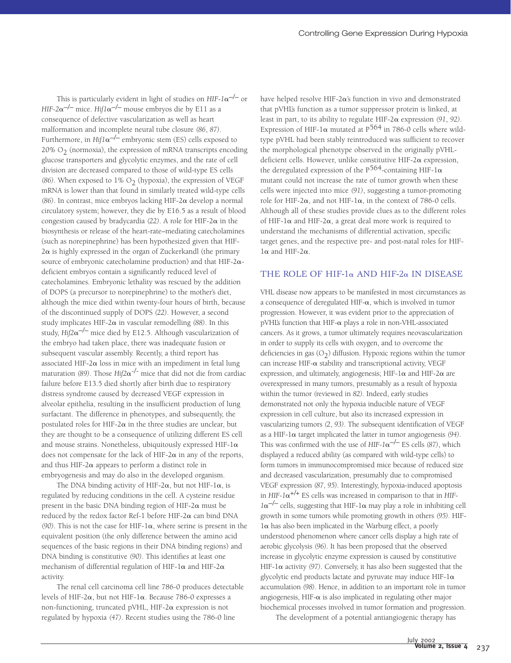This is particularly evident in light of studies on  $HIF-1\alpha^{-/-}$  or *HIF-2* $\alpha$ <sup>-/–</sup> mice. *Hif1* $\alpha$ <sup>-/–</sup> mouse embryos die by E11 as a consequence of defective vascularization as well as heart malformation and incomplete neural tube closure *(86*, *87)*. Furthermore, in  $Hif1\alpha^{-/-}$  embryonic stem (ES) cells exposed to 20%  $O<sub>2</sub>$  (normoxia), the expression of mRNA transcripts encoding glucose transporters and glycolytic enzymes, and the rate of cell division are decreased compared to those of wild-type ES cells  $(86)$ . When exposed to  $1\%$  O<sub>2</sub> (hypoxia), the expression of VEGF mRNA is lower than that found in similarly treated wild-type cells *(86)*. In contrast, mice embryos lacking HIF-2 $\alpha$  develop a normal circulatory system; however, they die by E16.5 as a result of blood congestion caused by bradycardia  $(22)$ . A role for HIF-2 $\alpha$  in the biosynthesis or release of the heart-rate–mediating catecholamines (such as norepinephrine) has been hypothesized given that HIF- $2\alpha$  is highly expressed in the organ of Zuckerkandl (the primary source of embryonic catecholamine production) and that HIF-2 $\alpha$ deficient embryos contain a significantly reduced level of catecholamines. Embryonic lethality was rescued by the addition of DOPS (a precursor to norepinephrine) to the mother's diet, although the mice died within twenty-four hours of birth, because of the discontinued supply of DOPS *(22)*. However, a second study implicates HIF-2 $\alpha$  in vascular remodelling *(88)*. In this study,  $Hi/2\alpha^{-/-}$  mice died by E12.5. Although vascularization of the embryo had taken place, there was inadequate fusion or subsequent vascular assembly. Recently, a third report has associated HIF-2 $\alpha$  loss in mice with an impediment in fetal lung maturation *(89)*. Those *Hif2* $\alpha$ <sup>-/-</sup> mice that did not die from cardiac failure before E13.5 died shortly after birth due to respiratory distress syndrome caused by decreased VEGF expression in alveolar epithelia, resulting in the insufficient production of lung surfactant. The difference in phenotypes, and subsequently, the postulated roles for HIF-2 $\alpha$  in the three studies are unclear, but they are thought to be a consequence of utilizing different ES cell and mouse strains. Nonetheless, ubiquitously expressed HIF-1 $\alpha$ does not compensate for the lack of HIF-2 $\alpha$  in any of the reports, and thus HIF-2 $\alpha$  appears to perform a distinct role in embryogenesis and may do also in the developed organism.

The DNA binding activity of HIF-2 $\alpha$ , but not HIF-1 $\alpha$ , is regulated by reducing conditions in the cell. A cysteine residue present in the basic DNA binding region of HIF-2 $\alpha$  must be reduced by the redox factor Ref-1 before HIF-2 $\alpha$  can bind DNA  $(90)$ . This is not the case for HIF-1 $\alpha$ , where serine is present in the equivalent position (the only difference between the amino acid sequences of the basic regions in their DNA binding regions) and DNA binding is constitutive *(90)*. This identifies at least one mechanism of differential regulation of HIF-1 $\alpha$  and HIF-2 $\alpha$ activity.

The renal cell carcinoma cell line 786-0 produces detectable levels of HIF-2 $\alpha$ , but not HIF-1 $\alpha$ . Because 786-0 expresses a non-functioning, truncated pVHL, HIF-2 $\alpha$  expression is not regulated by hypoxia *(47)*. Recent studies using the 786-0 line

have helped resolve HIF- $2\alpha$ 's function in vivo and demonstrated that pVHL's function as a tumor suppressor protein is linked, at least in part, to its ability to regulate HIF-2 $\alpha$  expression (91, 92). Expression of HIF-1 $\alpha$  mutated at P<sup>564</sup> in 786-0 cells where wildtype pVHL had been stably reintroduced was sufficient to recover the morphological phenotype observed in the originally pVHLdeficient cells. However, unlike constitutive HIF-2 $\alpha$  expression, the deregulated expression of the  $P^{564}$ -containing HIF-1 $\alpha$ mutant could not increase the rate of tumor growth when these cells were injected into mice *(91)*, suggesting a tumor-promoting role for HIF-2 $\alpha$ , and not HIF-1 $\alpha$ , in the context of 786-0 cells. Although all of these studies provide clues as to the different roles of HIF-1 $\alpha$  and HIF-2 $\alpha$ , a great deal more work is required to understand the mechanisms of differential activation, specific target genes, and the respective pre- and post-natal roles for HIF- $1\alpha$  and HIF-2 $\alpha$ .

#### THE ROLE OF HIF-1 $\alpha$  AND HIF-2 $\alpha$  IN DISEASE

VHL disease now appears to be manifested in most circumstances as a consequence of deregulated HIF- $\alpha$ , which is involved in tumor progression. However, it was evident prior to the appreciation of  $pVHL$ 's function that HIF- $\alpha$  plays a role in non-VHL-associated cancers. As it grows, a tumor ultimately requires neovascularization in order to supply its cells with oxygen, and to overcome the deficiencies in gas  $(O_2)$  diffusion. Hypoxic regions within the tumor can increase HIF- $\alpha$  stability and transcriptional activity, VEGF expression, and ultimately, angiogenesis; HIF-1 $\alpha$  and HIF-2 $\alpha$  are overexpressed in many tumors, presumably as a result of hypoxia within the tumor *(*reviewed in *82)*. Indeed, early studies demonstrated not only the hypoxia inducible nature of VEGF expression in cell culture, but also its increased expression in vascularizing tumors *(2*, *93)*. The subsequent identification of VEGF as a HIF-1 $\alpha$  target implicated the latter in tumor angiogenesis (94). This was confirmed with the use of  $HIF-I\alpha^{-/-}$  ES cells *(87)*, which displayed a reduced ability (as compared with wild-type cells) to form tumors in immunocompromised mice because of reduced size and decreased vascularization, presumably due to compromised VEGF expression *(87*, *95)*. Interestingly, hypoxia-induced apoptosis in  $HIF-1\alpha^{+/+}$  ES cells was increased in comparison to that in  $HIF 1\alpha^{-/-}$  cells, suggesting that HIF-1 $\alpha$  may play a role in inhibiting cell growth in some tumors while promoting growth in others *(95)*. HIF- $1\alpha$  has also been implicated in the Warburg effect, a poorly understood phenomenon where cancer cells display a high rate of aerobic glycolysis *(96)*. It has been proposed that the observed increase in glycolytic enzyme expression is caused by constitutive HIF-1 $\alpha$  activity (97). Conversely, it has also been suggested that the glycolytic end products lactate and pyruvate may induce HIF- $1\alpha$ accumulation *(98)*. Hence, in addition to an important role in tumor angiogenesis, HIF- $\alpha$  is also implicated in regulating other major biochemical processes involved in tumor formation and progression.

The development of a potential antiangiogenic therapy has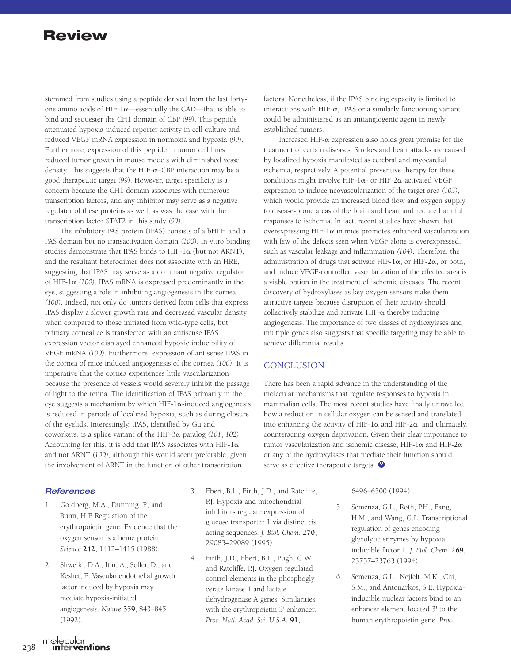stemmed from studies using a peptide derived from the last fortyone amino acids of HIF-1 $\alpha$ —essentially the CAD—that is able to bind and sequester the CH1 domain of CBP *(99)*. This peptide attenuated hypoxia-induced reporter activity in cell culture and reduced VEGF mRNA expression in normoxia and hypoxia *(99)*. Furthermore, expression of this peptide in tumor cell lines reduced tumor growth in mouse models with diminished vessel density. This suggests that the HIF- $\alpha$ –CBP interaction may be a good therapeutic target *(99)*. However, target specificity is a concern because the CH1 domain associates with numerous transcription factors, and any inhibitor may serve as a negative regulator of these proteins as well, as was the case with the transcription factor STAT2 in this study *(99)*.

The inhibitory PAS protein (IPAS) consists of a bHLH and a PAS domain but no transactivation domain *(100)*. In vitro binding studies demonstrate that IPAS binds to HIF- $1\alpha$  (but not ARNT), and the resultant heterodimer does not associate with an HRE, suggesting that IPAS may serve as a dominant negative regulator of HIF-1 $\alpha$  (100). IPAS mRNA is expressed predominantly in the eye, suggesting a role in inhibiting angiogenesis in the cornea *(100)*. Indeed, not only do tumors derived from cells that express IPAS display a slower growth rate and decreased vascular density when compared to those initiated from wild-type cells, but primary corneal cells transfected with an antisense IPAS expression vector displayed enhanced hypoxic inducibility of VEGF mRNA *(100)*. Furthermore, expression of antisense IPAS in the cornea of mice induced angiogenesis of the cornea *(100)*. It is imperative that the cornea experiences little vascularization because the presence of vessels would severely inhibit the passage of light to the retina. The identification of IPAS primarily in the eye suggests a mechanism by which HIF- $1\alpha$ -induced angiogenesis is reduced in periods of localized hypoxia, such as during closure of the eyelids. Interestingly, IPAS, identified by Gu and coworkers, is a splice variant of the HIF-3 $\alpha$  paralog (101, 102). Accounting for this, it is odd that IPAS associates with HIF- $1\alpha$ and not ARNT *(100)*, although this would seem preferable, given the involvement of ARNT in the function of other transcription

factors. Nonetheless, if the IPAS binding capacity is limited to interactions with HIF- $\alpha$ , IPAS or a similarly functioning variant could be administered as an antiangiogenic agent in newly established tumors.

Increased HIF- $\alpha$  expression also holds great promise for the treatment of certain diseases. Strokes and heart attacks are caused by localized hypoxia manifested as cerebral and myocardial ischemia, respectively. A potential preventive therapy for these conditions might involve HIF-1 $\alpha$ - or HIF-2 $\alpha$ -activated VEGF expression to induce neovascularization of the target area *(103)*, which would provide an increased blood flow and oxygen supply to disease-prone areas of the brain and heart and reduce harmful responses to ischemia. In fact, recent studies have shown that overexpressing HIF-1 $\alpha$  in mice promotes enhanced vascularization with few of the defects seen when VEGF alone is overexpressed, such as vascular leakage and inflammation *(104)*. Therefore, the administration of drugs that activate HIF-1 $\alpha$ , or HIF-2 $\alpha$ , or both, and induce VEGF-controlled vascularization of the effected area is a viable option in the treatment of ischemic diseases. The recent discovery of hydroxylases as key oxygen sensors make them attractive targets because disruption of their activity should collectively stabilize and activate HIF- $\alpha$  thereby inducing angiogenesis. The importance of two classes of hydroxylases and multiple genes also suggests that specific targeting may be able to achieve differential results.

## **CONCLUSION**

There has been a rapid advance in the understanding of the molecular mechanisms that regulate responses to hypoxia in mammalian cells. The most recent studies have finally unravelled how a reduction in cellular oxygen can be sensed and translated into enhancing the activity of HIF-1 $\alpha$  and HIF-2 $\alpha$ , and ultimately, counteracting oxygen deprivation. Given their clear importance to tumor vascularization and ischemic disease. HIF-1 $\alpha$  and HIF-2 $\alpha$ or any of the hydroxylases that mediate their function should serve as effective therapeutic targets.

#### *References*

- 1. Goldberg, M.A., Dunning, P., and Bunn, H.F. Regulation of the erythropoietin gene: Evidence that the oxygen sensor is a heme protein. *Science* **242**, 1412–1415 (1988).
- 2. Shweiki, D.A., Itin, A., Soffer, D., and Keshet, E. Vascular endothelial growth factor induced by hypoxia may mediate hypoxia-initiated angiogenesis. *Nature* **359**, 843–845 (1992).
- 3. Ebert, B.L., Firth, J.D., and Ratcliffe, P.J. Hypoxia and mitochondrial inhibitors regulate expression of glucose transporter 1 via distinct *cis* acting sequences. *J. Biol. Chem.* **270**, 29083–29089 (1995).
- 4. Firth, J.D., Ebert, B.L., Pugh, C.W., and Ratcliffe, P.J. Oxygen regulated control elements in the phosphoglycerate kinase 1 and lactate dehydrogenase A genes: Similarities with the erythropoietin 3' enhancer. *Proc. Natl. Acad. Sci. U.S.A.* **91**,

6496–6500 (1994).

- 5. Semenza, G.L., Roth, P.H., Fang, H.M., and Wang, G.L. Transcriptional regulation of genes encoding glycolytic enzymes by hypoxia inducible factor 1. *J. Biol. Chem.* **269**, 23757–23763 (1994).
- 6. Semenza, G.L., Nejfelt, M.K., Chi, S.M., and Antonarkos, S.E. Hypoxiainducible nuclear factors bind to an enhancer element located 3' to the human erythropoietin gene. *Proc.*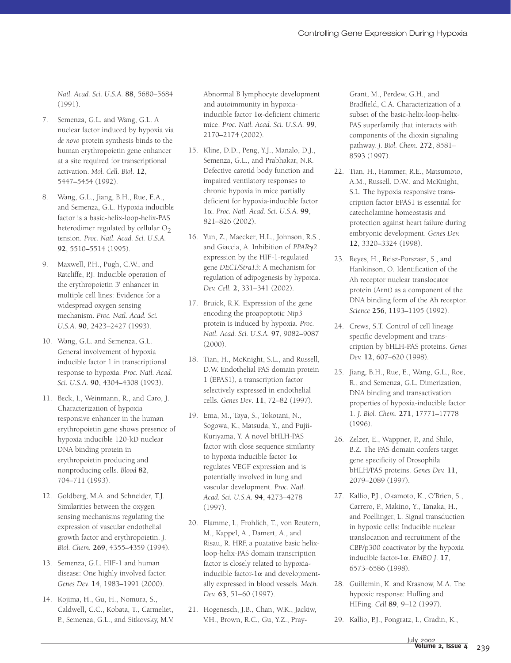*Natl. Acad. Sci. U.S.A.* **88**, 5680–5684 (1991).

- 7. Semenza, G.L. and Wang, G.L. A nuclear factor induced by hypoxia via *de novo* protein synthesis binds to the human erythropoietin gene enhancer at a site required for transcriptional activation. *Mol. Cell. Biol*. **12**, 5447–5454 (1992).
- 8. Wang, G.L., Jiang, B.H., Rue, E.A., and Semenza, G.L. Hypoxia inducible factor is a basic-helix-loop-helix-PAS heterodimer regulated by cellular  $O<sub>2</sub>$ tension. *Proc. Natl. Acad. Sci. U.S.A.* **92**, 5510–5514 (1995).
- 9. Maxwell, P.H., Pugh, C.W., and Ratcliffe, P.J. Inducible operation of the erythropoietin 3' enhancer in multiple cell lines: Evidence for a widespread oxygen sensing mechanism. *Proc. Natl. Acad. Sci. U.S.A.* **90**, 2423–2427 (1993).
- 10. Wang, G.L. and Semenza, G.L. General involvement of hypoxia inducible factor 1 in transcriptional response to hypoxia. *Proc. Natl. Acad. Sci. U.S.A.* **90**, 4304–4308 (1993).
- 11. Beck, I., Weinmann, R., and Caro, J. Characterization of hypoxia responsive enhancer in the human erythropoietin gene shows presence of hypoxia inducible 120-kD nuclear DNA binding protein in erythropoietin producing and nonproducing cells. *Blood* **82**, 704–711 (1993).
- 12. Goldberg, M.A. and Schneider, T.J. Similarities between the oxygen sensing mechanisms regulating the expression of vascular endothelial growth factor and erythropoietin. *J. Biol. Chem.* **269**, 4355–4359 (1994).
- 13. Semenza, G.L. HIF-1 and human disease: One highly involved factor. *Genes Dev.* **14**, 1983–1991 (2000).
- 14. Kojima, H., Gu, H., Nomura, S., Caldwell, C.C., Kobata, T., Carmeliet, P., Semenza, G.L., and Sitkovsky, M.V.

Abnormal B lymphocyte development and autoimmunity in hypoxiainducible factor  $1\alpha$ -deficient chimeric mice. *Proc. Natl. Acad. Sci. U.S.A.* **99**, 2170–2174 (2002).

- 15. Kline, D.D., Peng, Y.J., Manalo, D.J., Semenza, G.L., and Prabhakar, N.R. Defective carotid body function and impaired ventilatory responses to chronic hypoxia in mice partially deficient for hypoxia-inducible factor 1. *Proc. Natl. Acad. Sci. U.S.A.* **99**, 821–826 (2002).
- 16. Yun, Z., Maecker, H.L., Johnson, R.S., and Giaccia, A. Inhibition of *PPAR2* expression by the HIF-1-regulated gene *DEC1/Stra13*: A mechanism for regulation of adipogenesis by hypoxia. *Dev. Cell.* **2**, 331–341 (2002).
- 17. Bruick, R.K. Expression of the gene encoding the proapoptotic Nip3 protein is induced by hypoxia. *Proc. Natl. Acad. Sci. U.S.A.* **97**, 9082–9087 (2000).
- 18. Tian, H., McKnight, S.L., and Russell, D.W. Endothelial PAS domain protein 1 (EPAS1), a transcription factor selectively expressed in endothelial cells. *Genes Dev*. **11**, 72–82 (1997).
- 19. Ema, M., Taya, S., Tokotani, N., Sogowa, K., Matsuda, Y., and Fujii-Kuriyama, Y. A novel bHLH-PAS factor with close sequence similarity to hypoxia inducible factor  $1\alpha$ regulates VEGF expression and is potentially involved in lung and vascular development. *Proc. Natl. Acad. Sci. U.S.A.* **94**, 4273–4278 (1997).
- 20. Flamme, I., Frohlich, T., von Reutern, M., Kappel, A., Damert, A., and Risau, R. HRF, a puatative basic helixloop-helix-PAS domain transcription factor is closely related to hypoxiainducible factor- $1\alpha$  and developmentally expressed in blood vessels. *Mech. Dev.* **63**, 51–60 (1997).
- 21. Hogenesch, J.B., Chan, W.K., Jackiw, V.H., Brown, R.C., Gu, Y.Z., Pray-

Grant, M., Perdew, G.H., and Bradfield, C.A. Characterization of a subset of the basic-helix-loop-helix-PAS superfamily that interacts with components of the dioxin signaling pathway. *J. Biol. Chem.* **272**, 8581– 8593 (1997).

- 22. Tian, H., Hammer, R.E., Matsumoto, A.M., Russell, D.W., and McKnight, S.L. The hypoxia responsive transcription factor EPAS1 is essential for catecholamine homeostasis and protection against heart failure during embryonic development. *Genes Dev.* **12**, 3320–3324 (1998).
- 23. Reyes, H., Reisz-Porszasz, S., and Hankinson, O. Identification of the Ah receptor nuclear translocator protein (Arnt) as a component of the DNA binding form of the Ah receptor. *Science* **256**, 1193–1195 (1992).
- 24. Crews, S.T. Control of cell lineage specific development and transcription by bHLH-PAS proteins. *Genes Dev.* **12**, 607–620 (1998).
- 25. Jiang, B.H., Rue, E., Wang, G.L., Roe, R., and Semenza, G.L. Dimerization, DNA binding and transactivation properties of hypoxia-inducible factor 1. *J. Biol. Chem.* **271**, 17771–17778 (1996).
- 26. Zelzer, E., Wappner, P., and Shilo, B.Z. The PAS domain confers target gene specificity of Drosophila bHLH/PAS proteins. *Genes Dev.* **11**, 2079–2089 (1997).
- 27. Kallio, P.J., Okamoto, K., O'Brien, S., Carrero, P., Makino, Y., Tanaka, H., and Poellinger, L. Signal transduction in hypoxic cells: Inducible nuclear translocation and recruitment of the CBP/p300 coactivator by the hypoxia inducible factor- $1\alpha$ . *EMBO J.* **17**, 6573–6586 (1998).
- 28. Guillemin, K. and Krasnow, M.A. The hypoxic response: Huffing and HIFing. *Cell* **89**, 9–12 (1997).
- 29. Kallio, P.J., Pongratz, I., Gradin, K.,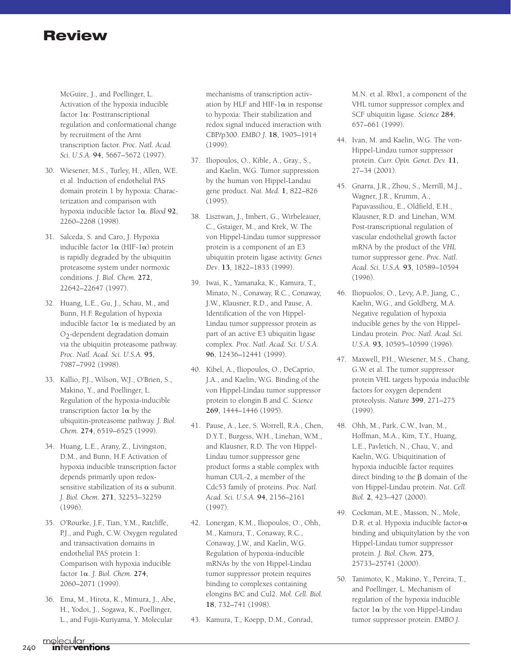McGuire, J., and Poellinger, L. Activation of the hypoxia inducible factor  $1\alpha$ : Posttranscriptional regulation and conformational change by recruitment of the Arnt transcription factor. *Proc. Natl. Acad. Sci. U.S.A.* **94**, 5667–5672 (1997).

- 30. Wiesener, M.S., Turley, H., Allen, W.E. et al. Induction of endothelial PAS domain protein 1 by hypoxia: Characterization and comparison with hypoxia inducible factor  $1\alpha$ . *Blood* 92, 2260–2268 (1998).
- 31. Salceda, S. and Caro, J. Hypoxia inducible factor  $l\alpha$  (HIF- $l\alpha$ ) protein is rapidly degraded by the ubiquitin proteasome system under normoxic conditions. *J. Biol. Chem.* **272**, 22642–22647 (1997).
- 32. Huang, L.E., Gu, J., Schau, M., and Bunn, H.F. Regulation of hypoxia inducible factor  $1\alpha$  is mediated by an  $O<sub>2</sub>$ -dependent degradation domain via the ubiquitin proteasome pathway. *Proc. Natl. Acad. Sci. U.S.A.* **95**, 7987–7992 (1998).
- 33. Kallio, P.J., Wilson, W.J., O'Brien, S., Makino, Y., and Poellinger, L. Regulation of the hypoxia-inducible transcription factor  $1\alpha$  by the ubiquitin-proteasome pathway. *J. Biol. Chem.* **274**, 6519–6525 (1999).
- 34. Huang, L.E., Arany, Z., Livingston, D.M., and Bunn, H.F. Activation of hypoxia inducible transcription factor depends primarily upon redoxsensitive stabilization of its  $\alpha$  subunit. *J. Biol. Chem.* **271**, 32253–32259 (1996).
- 35. O'Rourke, J.F., Tian, Y.M., Ratcliffe, P.J., and Pugh, C.W. Oxygen regulated and transactivation domains in endothelial PAS protein 1: Comparison with hypoxia inducible factor  $1\alpha$ . *J. Biol. Chem.* 274, 2060–2071 (1999).
- 36. Ema, M., Hirota, K., Mimura, J., Abe, H., Yodoi, J., Sogawa, K., Poellinger, L., and Fujii-Kuriyama, Y. Molecular

mechanisms of transcription activation by HLF and HIF- $1\alpha$  in response to hypoxia: Their stabilization and redox signal induced interaction with CBP/p300. *EMBO J.* **18**, 1905–1914 (1999).

- 37. Iliopoulos, O., Kible, A., Gray., S., and Kaelin, W.G. Tumor suppression by the human von Hippel-Landau gene product. *Nat. Med.* **1**, 822–826 (1995).
- 38. Lisztwan, J., Imbert, G., Wirbeleauer, C., Gstaiger, M., and Krek, W. The von Hippel-Lindau tumor suppressor protein is a component of an E3 ubiquitin protein ligase activity. *Genes Dev*. **13**, 1822–1833 (1999).
- 39. Iwai, K., Yamanaka, K., Kamura, T., Minato, N., Conaway, R.C., Conaway, J.W., Klausner, R.D., and Pause, A. Identification of the von Hippel-Lindau tumor suppressor protein as part of an active E3 ubiquitin ligase complex. *Proc. Natl. Acad. Sci. U.S.A.* **96**, 12436–12441 (1999).
- 40. Kibel, A., Iliopoulos, O., DeCaprio, J.A., and Kaelin, W.G. Binding of the von Hippel-Lindau tumor suppressor protein to elongin B and C. *Science* **269**, 1444–1446 (1995).
- 41. Pause, A., Lee, S. Worrell, R.A., Chen, D.Y.T., Burgess, W.H., Linehan, W.M., and Klausner, R.D. The von Hippel-Lindau tumor suppressor gene product forms a stable complex with human CUL-2, a member of the Cdc53 family of proteins. *Proc. Natl. Acad. Sci. U.S.A.* **94**, 2156–2161 (1997).
- 42. Lonergan, K.M., Iliopoulos, O., Ohh, M., Kamura, T., Conaway, R.C., Conaway, J.W., and Kaelin, W.G. Regulation of hypoxia-inducible mRNAs by the von Hippel-Lindau tumor suppressor protein requires binding to complexes containing elongins B/C and Cul2. *Mol. Cell. Biol.* **18**, 732–741 (1998).
- 43. Kamura, T., Koepp, D.M., Conrad,

M.N. et al. Rbx1, a component of the VHL tumor suppressor complex and SCF ubiquitin ligase. *Science* **284**, 657–661 (1999).

- 44. Ivan, M. and Kaelin, W.G. The von-Hippel-Lindau tumor suppressor protein. *Curr. Opin. Genet. Dev.* **11**, 27–34 (2001).
- 45. Gnarra, J.R., Zhou, S., Merrill, M.J., Wagner, J.R., Krumm, A., Papavassiliou, E., Oldfield, E.H., Klausner, R.D. and Linehan, W.M. Post-transcriptional regulation of vascular endothelial growth factor mRNA by the product of the *VHL* tumor suppressor gene. *Proc. Natl. Acad. Sci. U.S.A.* **93**, 10589–10594 (1996).
- 46. Iliopuolos, O., Levy, A.P., Jiang, C., Kaelin, W.G., and Goldberg, M.A. Negative regulation of hypoxia inducible genes by the von Hippel-Lindau protein. *Proc. Natl. Acad. Sci. U.S.A.* **93**, 10595–10599 (1996).
- 47. Maxwell, P.H., Wiesener, M.S., Chang, G.W. et al. The tumor suppressor protein VHL targets hypoxia inducible factors for oxygen dependent proteolysis. *Nature* **399**, 271–275 (1999).
- 48. Ohh, M., Park, C.W., Ivan, M., Hoffman, M.A., Kim, T.Y., Huang, L.E., Pavletich, N., Chau, V., and Kaelin, W.G. Ubiquitination of hypoxia inducible factor requires direct binding to the  $\beta$  domain of the von Hippel-Lindau protein. *Nat. Cell. Biol.* **2**, 423–427 (2000).
- 49. Cockman, M.E., Masson, N., Mole, D.R. et al. Hypoxia inducible factor- $\alpha$ binding and ubiquitylation by the von Hippel-Lindau tumor suppressor protein. *J. Biol. Chem.* **275**, 25733–25741 (2000).
- 50. Tanimoto, K., Makino, Y., Pereira, T., and Poellinger, L. Mechanism of regulation of the hypoxia inducible factor  $1\alpha$  by the von Hippel-Lindau tumor suppressor protein. *EMBO J.*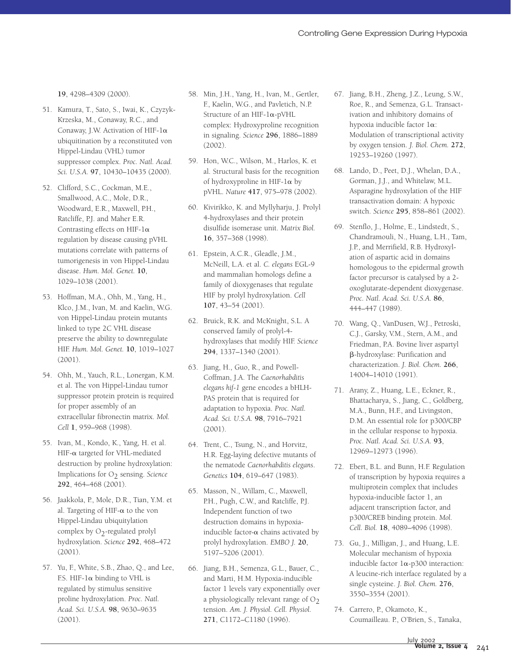**19**, 4298–4309 (2000).

- 51. Kamura, T., Sato, S., Iwai, K., Czyzyk-Krzeska, M., Conaway, R.C., and Conaway, J.W. Activation of HIF- $1\alpha$ ubiquitination by a reconstituted von Hippel-Lindau (VHL) tumor suppressor complex. *Proc. Natl. Acad. Sci. U.S.A.* **97**, 10430–10435 (2000).
- 52. Clifford, S.C., Cockman, M.E., Smallwood, A.C., Mole, D.R., Woodward, E.R., Maxwell, P.H., Ratcliffe, P.J. and Maher E.R. Contrasting effects on HIF-1 $\alpha$ regulation by disease causing pVHL mutations correlate with patterns of tumorigenesis in von Hippel-Lindau disease. *Hum. Mol. Genet.* **10**, 1029–1038 (2001).
- 53. Hoffman, M.A., Ohh, M., Yang, H., Klco, J.M., Ivan, M. and Kaelin, W.G. von Hippel-Lindau protein mutants linked to type 2C VHL disease preserve the ability to downregulate HIF. *Hum. Mol. Genet.* **10**, 1019–1027 (2001).
- 54. Ohh, M., Yauch, R.L., Lonergan, K.M. et al. The von Hippel-Lindau tumor suppressor protein protein is required for proper assembly of an extracellular fibronectin matrix. *Mol. Cell* **1**, 959–968 (1998).
- 55. Ivan, M., Kondo, K., Yang, H. et al. HIF- $\alpha$  targeted for VHL-mediated destruction by proline hydroxylation: Implications for O<sub>2</sub> sensing. Science **292**, 464–468 (2001).
- 56. Jaakkola, P., Mole, D.R., Tian, Y.M. et al. Targeting of HIF- $\alpha$  to the von Hippel-Lindau ubiquitylation complex by  $O<sub>2</sub>$ -regulated prolyl hydroxylation. *Science* **292**, 468–472 (2001).
- 57. Yu, F., White, S.B., Zhao, Q., and Lee, F.S. HIF-1 $\alpha$  binding to VHL is regulated by stimulus sensitive proline hydroxylation. *Proc. Natl. Acad. Sci. U.S.A.* **98**, 9630–9635 (2001).
- 58. Min, J.H., Yang, H., Ivan, M., Gertler, F., Kaelin, W.G., and Pavletich, N.P. Structure of an HIF- $1\alpha$ -pVHL complex: Hydroxyproline recognition in signaling. *Science* **296**, 1886–1889 (2002).
- 59. Hon, W.C., Wilson, M., Harlos, K. et al. Structural basis for the recognition of hydroxyproline in HIF- $1\alpha$  by pVHL. *Nature* **417**, 975–978 (2002).
- 60. Kivirikko, K. and Myllyharju, J. Prolyl 4-hydroxylases and their protein disulfide isomerase unit. *Matrix Biol.* **16**, 357–368 (1998).
- 61. Epstein, A.C.R., Gleadle, J.M., McNeill, L.A. et al. *C. elegans* EGL-9 and mammalian homologs define a family of dioxygenases that regulate HIF by prolyl hydroxylation. *Cell* **107**, 43–54 (2001).
- 62. Bruick, R.K. and McKnight, S.L. A conserved family of prolyl-4 hydroxylases that modify HIF. *Science* **294**, 1337–1340 (2001).
- 63. Jiang, H., Guo, R., and Powell-Coffman, J.A. The *Caenorhabditis elegans hif-1* gene encodes a bHLH-PAS protein that is required for adaptation to hypoxia. *Proc. Natl. Acad. Sci. U.S.A.* **98**, 7916–7921 (2001).
- 64. Trent, C., Tsung, N., and Horvitz, H.R. Egg-laying defective mutants of the nematode *Caenorhabditis elegans*. *Genetics* **104**, 619–647 (1983).
- 65. Masson, N., Willam, C., Maxwell, P.H., Pugh, C.W., and Ratcliffe, P.J. Independent function of two destruction domains in hypoxiainducible factor- $\alpha$  chains activated by prolyl hydroxylation. *EMBO J.* **20**, 5197–5206 (2001).
- 66. Jiang, B.H., Semenza, G.L., Bauer, C., and Marti, H.M. Hypoxia-inducible factor 1 levels vary exponentially over a physiologically relevant range of  $O_2$ tension. *Am. J. Physiol. Cell. Physiol.* **271**, C1172–C1180 (1996).
- 67. Jiang, B.H., Zheng, J.Z., Leung, S.W., Roe, R., and Semenza, G.L. Transactivation and inhibitory domains of hypoxia inducible factor  $1\alpha$ : Modulation of transcriptional activity by oxygen tension. *J. Biol. Chem.* **272**, 19253–19260 (1997).
- 68. Lando, D., Peet, D.J., Whelan, D.A., Gorman, J.J., and Whitelaw, M.L. Asparagine hydroxylation of the HIF transactivation domain: A hypoxic switch. *Science* **295**, 858–861 (2002).
- 69. Stenflo, J., Holme, E., Lindstedt, S., Chandramouli, N., Huang, L.H., Tam, J.P., and Merrifield, R.B. Hydroxylation of aspartic acid in domains homologous to the epidermal growth factor precursor is catalysed by a 2 oxoglutarate-dependent dioxygenase. *Proc. Natl. Acad. Sci. U.S.A.* **86**, 444–447 (1989).
- 70. Wang, Q., VanDusen, W.J., Petroski, C.J., Garsky, V.M., Stern, A.M., and Friedman, P.A. Bovine liver aspartyl --hydroxylase: Purification and characterization. *J. Biol. Chem.* **266**, 14004–14010 (1991).
- 71. Arany, Z., Huang, L.E., Eckner, R., Bhattacharya, S., Jiang, C., Goldberg, M.A., Bunn, H.F., and Livingston, D.M. An essential role for p300/CBP in the cellular response to hypoxia. *Proc. Natl. Acad. Sci. U.S.A.* **93**, 12969–12973 (1996).
- 72. Ebert, B.L. and Bunn, H.F. Regulation of transcription by hypoxia requires a multiprotein complex that includes hypoxia-inducible factor 1, an adjacent transcription factor, and p300/CREB binding protein. *Mol. Cell. Biol.* **18**, 4089–4096 (1998).
- 73. Gu, J., Milligan, J., and Huang, L.E. Molecular mechanism of hypoxia inducible factor  $1\alpha$ -p300 interaction: A leucine-rich interface regulated by a single cysteine. *J. Biol. Chem.* **276**, 3550–3554 (2001).
- 74. Carrero, P., Okamoto, K., Coumailleau. P., O'Brien, S., Tanaka,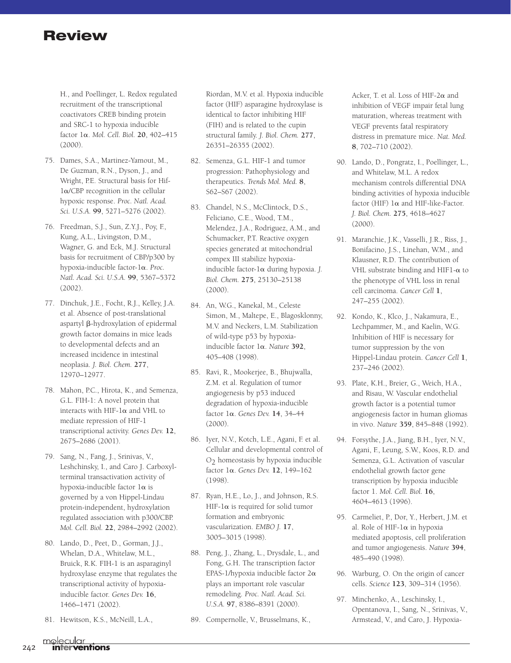H., and Poellinger, L. Redox regulated recruitment of the transcriptional coactivators CREB binding protein and SRC-1 to hypoxia inducible factor 1 $\alpha$ . *Mol. Cell. Biol.* **20**, 402–415 (2000).

- 75. Dames, S.A., Martinez-Yamout, M., De Guzman, R.N., Dyson, J., and Wright, P.E. Structural basis for Hif- $1\alpha$ /CBP recognition in the cellular hypoxic response. *Proc. Natl. Acad. Sci. U.S.A.* **99**, 5271–5276 (2002).
- 76. Freedman, S.J., Sun, Z.Y.J., Poy, F., Kung, A.L., Livingston, D.M., Wagner, G. and Eck, M.J. Structural basis for recruitment of CBP/p300 by hypoxia-inducible factor-1 $\alpha$ . *Proc. Natl. Acad. Sci. U.S.A.* **99**, 5367–5372 (2002).
- 77. Dinchuk, J.E., Focht, R.J., Kelley, J.A. et al. Absence of post-translational aspartyl **β**-hydroxylation of epidermal growth factor domains in mice leads to developmental defects and an increased incidence in intestinal neoplasia. *J. Biol. Chem.* **277**, 12970–12977.
- 78. Mahon, P.C., Hirota, K., and Semenza, G.L. FIH-1: A novel protein that interacts with HIF- $1\alpha$  and VHL to mediate repression of HIF-1 transcriptional activity. *Genes Dev.* **12**, 2675–2686 (2001).
- 79. Sang, N., Fang, J., Srinivas, V., Leshchinsky, I., and Caro J. Carboxylterminal transactivation activity of hypoxia-inducible factor  $1\alpha$  is governed by a von Hippel-Lindau protein-independent, hydroxylation regulated association with p300/CBP. *Mol. Cell. Biol.* **22**, 2984–2992 (2002).
- 80. Lando, D., Peet, D., Gorman, J.J., Whelan, D.A., Whitelaw, M.L., Bruick, R.K. FIH-1 is an asparaginyl hydroxylase enzyme that regulates the transcriptional activity of hypoxiainducible factor. *Genes Dev.* **16**, 1466–1471 (2002).
- 81. Hewitson, K.S., McNeill, L.A.,

Riordan, M.V. et al. Hypoxia inducible factor (HIF) asparagine hydroxylase is identical to factor inhibiting HIF (FIH) and is related to the cupin structural family. *J. Biol. Chem.* **277**, 26351–26355 (2002).

- 82. Semenza, G.L. HIF-1 and tumor progression: Pathophysiology and therapeutics. *Trends Mol. Med.* **8**, S62–S67 (2002).
- 83. Chandel, N.S., McClintock, D.S., Feliciano, C.E., Wood, T.M., Melendez, J.A., Rodriguez, A.M., and Schumacker, P.T. Reactive oxygen species generated at mitochondrial compex III stabilize hypoxiainducible factor- $1\alpha$  during hypoxia. *J*. *Biol. Chem.* **275**, 25130–25138 (2000).
- 84. An, W.G., Kanekal, M., Celeste Simon, M., Maltepe, E., Blagosklonny, M.V. and Neckers, L.M. Stabilization of wild-type p53 by hypoxiainducible factor 1α. *Nature* 392, 405–408 (1998).
- 85. Ravi, R., Mookerjee, B., Bhujwalla, Z.M. et al. Regulation of tumor angiogenesis by p53 induced degradation of hypoxia-inducible factor 1α. *Genes Dev.* 14, 34-44 (2000).
- 86. Iyer, N.V., Kotch, L.E., Agani, F. et al. Cellular and developmental control of  $O<sub>2</sub>$  homeostasis by hypoxia inducible factor 1α. *Genes Dev.* 12, 149-162 (1998).
- 87. Ryan, H.E., Lo, J., and Johnson, R.S. HIF-1 $\alpha$  is required for solid tumor formation and embryonic vascularization. *EMBO J.* **17**, 3005–3015 (1998).
- 88. Peng, J., Zhang, L., Drysdale, L., and Fong, G.H. The transcription factor EPAS-1/hypoxia inducible factor  $2\alpha$ plays an important role vascular remodeling. *Proc. Natl. Acad. Sci. U.S.A.* **97**, 8386–8391 (2000).
- 89. Compernolle, V., Brusselmans, K.,

Acker, T. et al. Loss of HIF-2 $\alpha$  and inhibition of VEGF impair fetal lung maturation, whereas treatment with VEGF prevents fatal respiratory distress in premature mice. *Nat. Med.* **8**, 702–710 (2002).

- 90. Lando, D., Pongratz, I., Poellinger, L., and Whitelaw, M.L. A redox mechanism controls differential DNA binding activities of hypoxia inducible factor (HIF)  $1\alpha$  and HIF-like-Factor. *J. Biol. Chem.* **275**, 4618–4627 (2000).
- 91. Maranchie, J.K., Vasselli, J.R., Riss, J., Bonifacino, J.S., Linehan, W.M., and Klausner, R.D. The contribution of VHL substrate binding and HIF1- $\alpha$  to the phenotype of VHL loss in renal cell carcinoma. *Cancer Cell* **1**, 247–255 (2002).
- 92. Kondo, K., Klco, J., Nakamura, E., Lechpammer, M., and Kaelin, W.G. Inhibition of HIF is necessary for tumor suppression by the von Hippel-Lindau protein. *Cancer Cell* **1**, 237–246 (2002).
- 93. Plate, K.H., Breier, G., Weich, H.A., and Risau, W. Vascular endothelial growth factor is a potential tumor angiogenesis factor in human gliomas in vivo. *Nature* **359**, 845–848 (1992).
- 94. Forsythe, J.A., Jiang, B.H., Iyer, N.V., Agani, F., Leung, S.W., Koos, R.D. and Semenza, G.L. Activation of vascular endothelial growth factor gene transcription by hypoxia inducible factor 1. *Mol. Cell. Biol.* **16**, 4604–4613 (1996).
- 95. Carmeliet, P., Dor, Y., Herbert, J.M. et al. Role of HIF- $1\alpha$  in hypoxia mediated apoptosis, cell proliferation and tumor angiogenesis. *Nature* **394**, 485–490 (1998).
- 96. Warburg, O. On the origin of cancer cells. *Science* **123**, 309–314 (1956).
- 97. Minchenko, A., Leschinsky, I., Opentanova, I., Sang, N., Srinivas, V., Armstead, V., and Caro, J. Hypoxia-